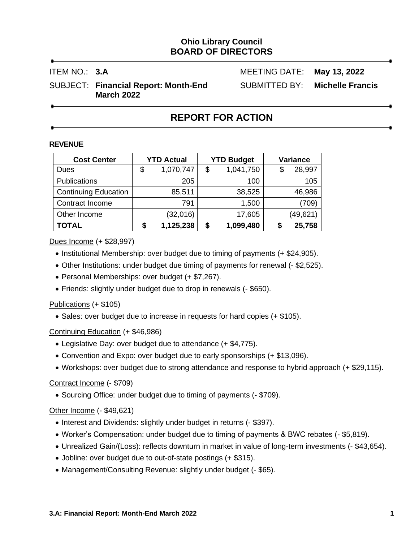# **Ohio Library Council BOARD OF DIRECTORS**

ITEM NO.: **3.A** MEETING DATE: **May 13, 2022**

SUBJECT: **Financial Report: Month-End** SUBMITTED BY: **Michelle Francis March 2022**

# **REPORT FOR ACTION**

#### **REVENUE**

| <b>Cost Center</b>          | <b>YTD Actual</b> |           | <b>YTD Budget</b> | Variance |           |  |
|-----------------------------|-------------------|-----------|-------------------|----------|-----------|--|
| Dues                        | \$                | 1,070,747 | \$<br>1,041,750   |          | 28,997    |  |
| <b>Publications</b>         |                   | 205       | 100               |          | 105       |  |
| <b>Continuing Education</b> |                   | 85,511    | 38,525            |          | 46,986    |  |
| Contract Income             |                   | 791       | 1,500             |          | (709)     |  |
| Other Income                |                   | (32,016)  | 17,605            |          | (49, 621) |  |
| <b>TOTAL</b>                |                   | 1,125,238 | \$<br>1,099,480   |          | 25,758    |  |

Dues Income (+ \$28,997)

- Institutional Membership: over budget due to timing of payments (+ \$24,905).
- Other Institutions: under budget due timing of payments for renewal (- \$2,525).
- Personal Memberships: over budget (+ \$7,267).
- Friends: slightly under budget due to drop in renewals (- \$650).

# Publications (+ \$105)

• Sales: over budget due to increase in requests for hard copies (+ \$105).

# Continuing Education (+ \$46,986)

- Legislative Day: over budget due to attendance (+ \$4,775).
- Convention and Expo: over budget due to early sponsorships (+ \$13,096).
- Workshops: over budget due to strong attendance and response to hybrid approach (+ \$29,115).

# Contract Income (- \$709)

• Sourcing Office: under budget due to timing of payments (- \$709).

# Other Income (- \$49,621)

- Interest and Dividends: slightly under budget in returns (- \$397).
- Worker's Compensation: under budget due to timing of payments & BWC rebates (- \$5,819).
- Unrealized Gain/(Loss): reflects downturn in market in value of long-term investments (- \$43,654).
- Jobline: over budget due to out-of-state postings (+ \$315).
- Management/Consulting Revenue: slightly under budget (- \$65).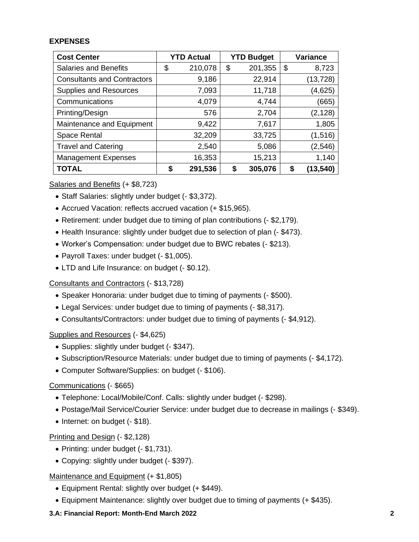### **EXPENSES**

| <b>Cost Center</b>                 | <b>YTD Actual</b> |         | <b>YTD Budget</b> |         | <b>Variance</b> |           |
|------------------------------------|-------------------|---------|-------------------|---------|-----------------|-----------|
| <b>Salaries and Benefits</b>       | \$                | 210,078 | \$                | 201,355 | \$              | 8,723     |
| <b>Consultants and Contractors</b> |                   | 9,186   |                   | 22,914  |                 | (13, 728) |
| <b>Supplies and Resources</b>      |                   | 7,093   |                   | 11,718  |                 | (4,625)   |
| Communications                     |                   | 4,079   |                   | 4,744   |                 | (665)     |
| Printing/Design                    |                   | 576     |                   | 2,704   |                 | (2, 128)  |
| Maintenance and Equipment          |                   | 9,422   |                   | 7,617   |                 | 1,805     |
| Space Rental                       |                   | 32,209  |                   | 33,725  |                 | (1, 516)  |
| <b>Travel and Catering</b>         |                   | 2,540   |                   | 5,086   |                 | (2, 546)  |
| <b>Management Expenses</b>         |                   | 16,353  |                   | 15,213  |                 | 1,140     |
| <b>TOTAL</b>                       | S                 | 291,536 |                   | 305,076 | \$              | (13,540)  |

Salaries and Benefits (+ \$8,723)

- Staff Salaries: slightly under budget (- \$3,372).
- Accrued Vacation: reflects accrued vacation (+ \$15,965).
- Retirement: under budget due to timing of plan contributions (- \$2,179).
- Health Insurance: slightly under budget due to selection of plan (- \$473).
- Worker's Compensation: under budget due to BWC rebates (- \$213).
- Payroll Taxes: under budget (- \$1,005).
- LTD and Life Insurance: on budget (- \$0.12).

Consultants and Contractors (- \$13,728)

- Speaker Honoraria: under budget due to timing of payments (- \$500).
- Legal Services: under budget due to timing of payments (- \$8,317).
- Consultants/Contractors: under budget due to timing of payments (- \$4,912).

Supplies and Resources (- \$4,625)

- Supplies: slightly under budget (- \$347).
- Subscription/Resource Materials: under budget due to timing of payments (- \$4,172).
- Computer Software/Supplies: on budget (- \$106).

#### Communications (- \$665)

- Telephone: Local/Mobile/Conf. Calls: slightly under budget (- \$298).
- Postage/Mail Service/Courier Service: under budget due to decrease in mailings (- \$349).
- Internet: on budget (- \$18).

#### Printing and Design (- \$2,128)

- Printing: under budget (- \$1,731).
- Copying: slightly under budget (- \$397).

Maintenance and Equipment (+ \$1,805)

- Equipment Rental: slightly over budget (+ \$449).
- Equipment Maintenance: slightly over budget due to timing of payments (+ \$435).

### **3.A: Financial Report: Month-End March 2022 2**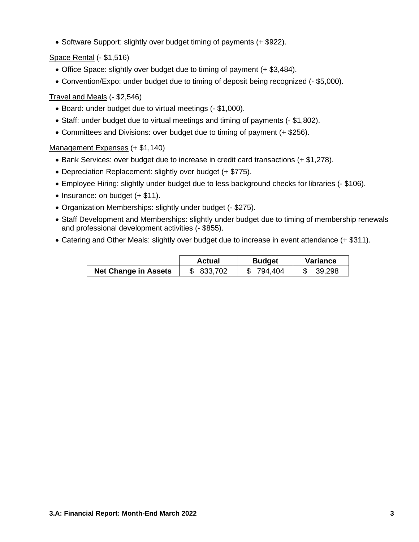• Software Support: slightly over budget timing of payments (+ \$922).

Space Rental (- \$1,516)

- Office Space: slightly over budget due to timing of payment (+ \$3,484).
- Convention/Expo: under budget due to timing of deposit being recognized (- \$5,000).

# Travel and Meals (- \$2,546)

- Board: under budget due to virtual meetings (- \$1,000).
- Staff: under budget due to virtual meetings and timing of payments (- \$1,802).
- Committees and Divisions: over budget due to timing of payment (+ \$256).

Management Expenses (+ \$1,140)

- Bank Services: over budget due to increase in credit card transactions (+ \$1,278).
- Depreciation Replacement: slightly over budget (+ \$775).
- Employee Hiring: slightly under budget due to less background checks for libraries (- \$106).
- Insurance: on budget (+ \$11).
- Organization Memberships: slightly under budget (- \$275).
- Staff Development and Memberships: slightly under budget due to timing of membership renewals and professional development activities (- \$855).
- Catering and Other Meals: slightly over budget due to increase in event attendance (+ \$311).

|                             | Actual  | <b>Budget</b> | Variance |  |
|-----------------------------|---------|---------------|----------|--|
| <b>Net Change in Assets</b> | 833,702 | 794.404       | 39,298   |  |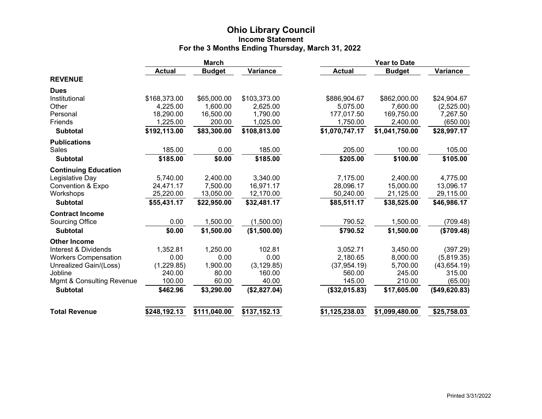#### **Ohio Library Council Income Statement For the 3 Months Ending Thursday, March 31, 2022**

|                              | <b>March</b>  |               |              | <b>Year to Date</b> |                |               |  |
|------------------------------|---------------|---------------|--------------|---------------------|----------------|---------------|--|
|                              | <b>Actual</b> | <b>Budget</b> | Variance     | <b>Actual</b>       | <b>Budget</b>  | Variance      |  |
| <b>REVENUE</b>               |               |               |              |                     |                |               |  |
| <b>Dues</b>                  |               |               |              |                     |                |               |  |
| Institutional                | \$168,373.00  | \$65,000.00   | \$103,373.00 | \$886,904.67        | \$862,000.00   | \$24,904.67   |  |
| Other                        | 4,225.00      | 1,600.00      | 2,625.00     | 5,075.00            | 7,600.00       | (2,525.00)    |  |
| Personal                     | 18,290.00     | 16,500.00     | 1,790.00     | 177,017.50          | 169,750.00     | 7,267.50      |  |
| Friends                      | 1,225.00      | 200.00        | 1,025.00     | 1,750.00            | 2,400.00       | (650.00)      |  |
| <b>Subtotal</b>              | \$192,113.00  | \$83,300.00   | \$108,813.00 | \$1,070,747.17      | \$1,041,750.00 | \$28,997.17   |  |
| <b>Publications</b>          |               |               |              |                     |                |               |  |
| Sales                        | 185.00        | 0.00          | 185.00       | 205.00              | 100.00         | 105.00        |  |
| <b>Subtotal</b>              | \$185.00      | \$0.00        | \$185.00     | \$205.00            | \$100.00       | \$105.00      |  |
| <b>Continuing Education</b>  |               |               |              |                     |                |               |  |
| Legislative Day              | 5,740.00      | 2,400.00      | 3,340.00     | 7,175.00            | 2,400.00       | 4,775.00      |  |
| <b>Convention &amp; Expo</b> | 24,471.17     | 7,500.00      | 16,971.17    | 28,096.17           | 15,000.00      | 13,096.17     |  |
| Workshops                    | 25,220.00     | 13,050.00     | 12,170.00    | 50,240.00           | 21,125.00      | 29,115.00     |  |
| <b>Subtotal</b>              | \$55,431.17   | \$22,950.00   | \$32,481.17  | \$85,511.17         | \$38,525.00    | \$46,986.17   |  |
| <b>Contract Income</b>       |               |               |              |                     |                |               |  |
| Sourcing Office              | 0.00          | 1,500.00      | (1,500.00)   | 790.52              | 1,500.00       | (709.48)      |  |
| <b>Subtotal</b>              | \$0.00        | \$1,500.00    | (\$1,500.00) | \$790.52            | \$1,500.00     | (\$709.48)    |  |
| <b>Other Income</b>          |               |               |              |                     |                |               |  |
| Interest & Dividends         | 1,352.81      | 1,250.00      | 102.81       | 3,052.71            | 3,450.00       | (397.29)      |  |
| <b>Workers Compensation</b>  | 0.00          | 0.00          | 0.00         | 2,180.65            | 8,000.00       | (5,819.35)    |  |
| Unrealized Gain/(Loss)       | (1,229.85)    | 1,900.00      | (3, 129.85)  | (37, 954.19)        | 5,700.00       | (43, 654.19)  |  |
| Jobline                      | 240.00        | 80.00         | 160.00       | 560.00              | 245.00         | 315.00        |  |
| Mgmt & Consulting Revenue    | 100.00        | 60.00         | 40.00        | 145.00              | 210.00         | (65.00)       |  |
| <b>Subtotal</b>              | \$462.96      | \$3,290.00    | (\$2,827.04) | (\$32,015.83)       | \$17,605.00    | (\$49,620.83) |  |
| <b>Total Revenue</b>         | \$248,192.13  | \$111,040.00  | \$137,152.13 | \$1,125,238.03      | \$1,099,480.00 | \$25,758.03   |  |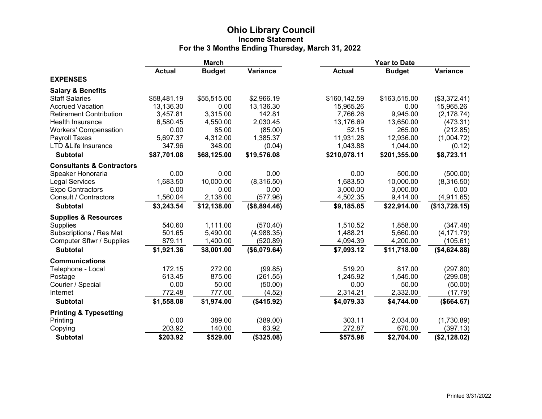#### **Ohio Library Council Income Statement For the 3 Months Ending Thursday, March 31, 2022**

|                                      | <b>March</b>  |               |              | <b>Year to Date</b> |               |               |  |
|--------------------------------------|---------------|---------------|--------------|---------------------|---------------|---------------|--|
|                                      | <b>Actual</b> | <b>Budget</b> | Variance     | <b>Actual</b>       | <b>Budget</b> | Variance      |  |
| <b>EXPENSES</b>                      |               |               |              |                     |               |               |  |
| <b>Salary &amp; Benefits</b>         |               |               |              |                     |               |               |  |
| <b>Staff Salaries</b>                | \$58,481.19   | \$55,515.00   | \$2,966.19   | \$160,142.59        | \$163,515.00  | (\$3,372.41)  |  |
| <b>Accrued Vacation</b>              | 13,136.30     | 0.00          | 13,136.30    | 15,965.26           | 0.00          | 15,965.26     |  |
| <b>Retirement Contribution</b>       | 3,457.81      | 3,315.00      | 142.81       | 7,766.26            | 9,945.00      | (2, 178.74)   |  |
| Health Insurance                     | 6,580.45      | 4,550.00      | 2,030.45     | 13,176.69           | 13,650.00     | (473.31)      |  |
| <b>Workers' Compensation</b>         | 0.00          | 85.00         | (85.00)      | 52.15               | 265.00        | (212.85)      |  |
| Payroll Taxes                        | 5,697.37      | 4,312.00      | 1,385.37     | 11,931.28           | 12,936.00     | (1,004.72)    |  |
| LTD & Life Insurance                 | 347.96        | 348.00        | (0.04)       | 1,043.88            | 1,044.00      | (0.12)        |  |
| <b>Subtotal</b>                      | \$87,701.08   | \$68,125.00   | \$19,576.08  | \$210,078.11        | \$201,355.00  | \$8,723.11    |  |
| <b>Consultants &amp; Contractors</b> |               |               |              |                     |               |               |  |
| Speaker Honoraria                    | 0.00          | 0.00          | 0.00         | 0.00                | 500.00        | (500.00)      |  |
| <b>Legal Services</b>                | 1,683.50      | 10,000.00     | (8,316.50)   | 1,683.50            | 10,000.00     | (8,316.50)    |  |
| <b>Expo Contractors</b>              | 0.00          | 0.00          | 0.00         | 3,000.00            | 3,000.00      | 0.00          |  |
| Consult / Contractors                | 1,560.04      | 2,138.00      | (577.96)     | 4,502.35            | 9,414.00      | (4,911.65)    |  |
| <b>Subtotal</b>                      | \$3,243.54    | \$12,138.00   | (\$8,894.46) | \$9,185.85          | \$22,914.00   | (\$13,728.15) |  |
| <b>Supplies &amp; Resources</b>      |               |               |              |                     |               |               |  |
| <b>Supplies</b>                      | 540.60        | 1,111.00      | (570.40)     | 1,510.52            | 1,858.00      | (347.48)      |  |
| Subscriptions / Res Mat              | 501.65        | 5,490.00      | (4,988.35)   | 1,488.21            | 5,660.00      | (4, 171.79)   |  |
| Computer Sftwr / Supplies            | 879.11        | 1,400.00      | (520.89)     | 4,094.39            | 4,200.00      | (105.61)      |  |
| <b>Subtotal</b>                      | \$1,921.36    | \$8,001.00    | (\$6,079.64) | \$7,093.12          | \$11,718.00   | (\$4,624.88)  |  |
| <b>Communications</b>                |               |               |              |                     |               |               |  |
| Telephone - Local                    | 172.15        | 272.00        | (99.85)      | 519.20              | 817.00        | (297.80)      |  |
| Postage                              | 613.45        | 875.00        | (261.55)     | 1,245.92            | 1,545.00      | (299.08)      |  |
| Courier / Special                    | 0.00          | 50.00         | (50.00)      | 0.00                | 50.00         | (50.00)       |  |
| Internet                             | 772.48        | 777.00        | (4.52)       | 2,314.21            | 2,332.00      | (17.79)       |  |
| <b>Subtotal</b>                      | \$1,558.08    | \$1,974.00    | (\$415.92)   | \$4,079.33          | \$4,744.00    | (\$664.67)    |  |
| <b>Printing &amp; Typesetting</b>    |               |               |              |                     |               |               |  |
| Printing                             | 0.00          | 389.00        | (389.00)     | 303.11              | 2,034.00      | (1,730.89)    |  |
| Copying                              | 203.92        | 140.00        | 63.92        | 272.87              | 670.00        | (397.13)      |  |
| <b>Subtotal</b>                      | \$203.92      | \$529.00      | (\$325.08)   | \$575.98            | \$2,704.00    | (\$2,128.02)  |  |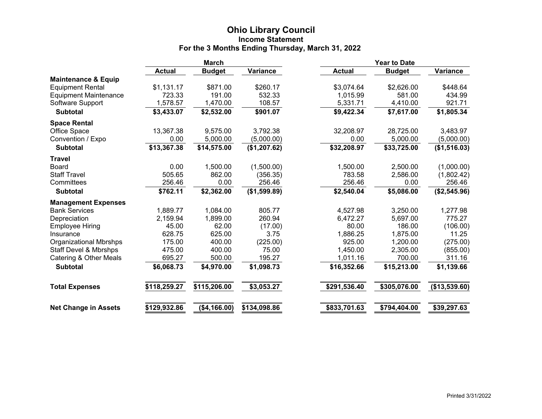#### **Ohio Library Council Income Statement For the 3 Months Ending Thursday, March 31, 2022**

|                                  | <b>March</b>  |               |              | <b>Year to Date</b> |               |               |  |
|----------------------------------|---------------|---------------|--------------|---------------------|---------------|---------------|--|
|                                  | <b>Actual</b> | <b>Budget</b> | Variance     | <b>Actual</b>       | <b>Budget</b> | Variance      |  |
| <b>Maintenance &amp; Equip</b>   |               |               |              |                     |               |               |  |
| <b>Equipment Rental</b>          | \$1,131.17    | \$871.00      | \$260.17     | \$3,074.64          | \$2,626.00    | \$448.64      |  |
| <b>Equipment Maintenance</b>     | 723.33        | 191.00        | 532.33       | 1,015.99            | 581.00        | 434.99        |  |
| Software Support                 | 1,578.57      | 1,470.00      | 108.57       | 5,331.71            | 4,410.00      | 921.71        |  |
| <b>Subtotal</b>                  | \$3,433.07    | \$2,532.00    | \$901.07     | \$9,422.34          | \$7,617.00    | \$1,805.34    |  |
| <b>Space Rental</b>              |               |               |              |                     |               |               |  |
| Office Space                     | 13,367.38     | 9,575.00      | 3,792.38     | 32,208.97           | 28,725.00     | 3,483.97      |  |
| Convention / Expo                | 0.00          | 5,000.00      | (5,000.00)   | 0.00                | 5,000.00      | (5,000.00)    |  |
| <b>Subtotal</b>                  | \$13,367.38   | \$14,575.00   | (\$1,207.62) | \$32,208.97         | \$33,725.00   | (\$1,516.03)  |  |
| <b>Travel</b>                    |               |               |              |                     |               |               |  |
| Board                            | 0.00          | 1,500.00      | (1,500.00)   | 1,500.00            | 2,500.00      | (1,000.00)    |  |
| <b>Staff Travel</b>              | 505.65        | 862.00        | (356.35)     | 783.58              | 2,586.00      | (1,802.42)    |  |
| Committees                       | 256.46        | 0.00          | 256.46       | 256.46              | 0.00          | 256.46        |  |
| <b>Subtotal</b>                  | \$762.11      | \$2,362.00    | (\$1,599.89) | \$2,540.04          | \$5,086.00    | (\$2,545.96)  |  |
| <b>Management Expenses</b>       |               |               |              |                     |               |               |  |
| <b>Bank Services</b>             | 1,889.77      | 1,084.00      | 805.77       | 4,527.98            | 3,250.00      | 1,277.98      |  |
| Depreciation                     | 2,159.94      | 1,899.00      | 260.94       | 6,472.27            | 5,697.00      | 775.27        |  |
| <b>Employee Hiring</b>           | 45.00         | 62.00         | (17.00)      | 80.00               | 186.00        | (106.00)      |  |
| Insurance                        | 628.75        | 625.00        | 3.75         | 1,886.25            | 1,875.00      | 11.25         |  |
| <b>Organizational Mbrshps</b>    | 175.00        | 400.00        | (225.00)     | 925.00              | 1,200.00      | (275.00)      |  |
| <b>Staff Devel &amp; Mbrshps</b> | 475.00        | 400.00        | 75.00        | 1,450.00            | 2,305.00      | (855.00)      |  |
| Catering & Other Meals           | 695.27        | 500.00        | 195.27       | 1,011.16            | 700.00        | 311.16        |  |
| <b>Subtotal</b>                  | \$6,068.73    | \$4,970.00    | \$1,098.73   | \$16,352.66         | \$15,213.00   | \$1,139.66    |  |
| <b>Total Expenses</b>            | \$118,259.27  | \$115,206.00  | \$3,053.27   | \$291,536.40        | \$305,076.00  | (\$13,539.60) |  |
| <b>Net Change in Assets</b>      | \$129,932.86  | (\$4,166.00)  | \$134,098.86 | \$833,701.63        | \$794,404.00  | \$39,297.63   |  |